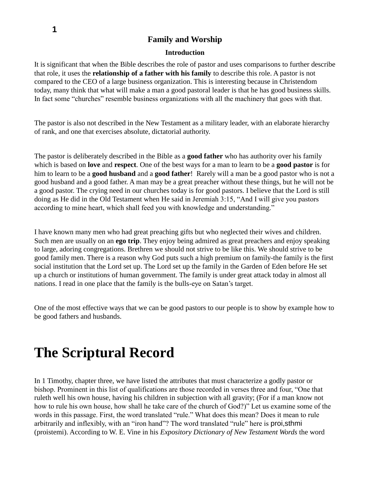### **Family and Worship**

### **Introduction**

It is significant that when the Bible describes the role of pastor and uses comparisons to further describe that role, it uses the **relationship of a father with his family** to describe this role. A pastor is not compared to the CEO of a large business organization. This is interesting because in Christendom today, many think that what will make a man a good pastoral leader is that he has good business skills. In fact some "churches" resemble business organizations with all the machinery that goes with that.

The pastor is also not described in the New Testament as a military leader, with an elaborate hierarchy of rank, and one that exercises absolute, dictatorial authority.

The pastor is deliberately described in the Bible as a **good father** who has authority over his family which is based on **love** and **respect**. One of the best ways for a man to learn to be a **good pastor** is for him to learn to be a **good husband** and a **good father**! Rarely will a man be a good pastor who is not a good husband and a good father. A man may be a great preacher without these things, but he will not be a good pastor. The crying need in our churches today is for good pastors. I believe that the Lord is still doing as He did in the Old Testament when He said in Jeremiah 3:15, "And I will give you pastors according to mine heart, which shall feed you with knowledge and understanding."

I have known many men who had great preaching gifts but who neglected their wives and children. Such men are usually on an **ego trip**. They enjoy being admired as great preachers and enjoy speaking to large, adoring congregations. Brethren we should not strive to be like this. We should strive to be good family men. There is a reason why God puts such a high premium on family-the family is the first social institution that the Lord set up. The Lord set up the family in the Garden of Eden before He set up a church or institutions of human government. The family is under great attack today in almost all nations. I read in one place that the family is the bulls-eye on Satan's target.

One of the most effective ways that we can be good pastors to our people is to show by example how to be good fathers and husbands.

# **The Scriptural Record**

In 1 Timothy, chapter three, we have listed the attributes that must characterize a godly pastor or bishop. Prominent in this list of qualifications are those recorded in verses three and four, "One that ruleth well his own house, having his children in subjection with all gravity; (For if a man know not how to rule his own house, how shall he take care of the church of God?)" Let us examine some of the words in this passage. First, the word translated "rule." What does this mean? Does it mean to rule arbitrarily and inflexibly, with an "iron hand"? The word translated "rule" here is proi,sthmi (proistemi). According to W. E. Vine in his *Expository Dictionary of New Testament Words* the word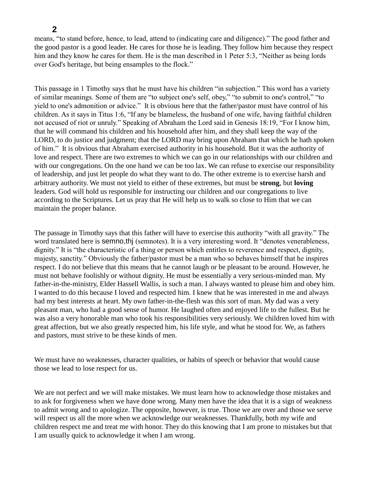### **2**

means, "to stand before, hence, to lead, attend to (indicating care and diligence)." The good father and the good pastor is a good leader. He cares for those he is leading. They follow him because they respect him and they know he cares for them. He is the man described in 1 Peter 5:3, "Neither as being lords over God's heritage, but being ensamples to the flock."

This passage in 1 Timothy says that he must have his children "in subjection." This word has a variety of similar meanings. Some of them are "to subject one's self, obey," "to submit to one's control," "to yield to one's admonition or advice." It is obvious here that the father/pastor must have control of his children. As it says in Titus 1:6, "If any be blameless, the husband of one wife, having faithful children not accused of riot or unruly." Speaking of Abraham the Lord said in Genesis 18:19, "For I know him, that he will command his children and his household after him, and they shall keep the way of the LORD, to do justice and judgment; that the LORD may bring upon Abraham that which he hath spoken of him." It is obvious that Abraham exercised authority in his household. But it was the authority of love and respect. There are two extremes to which we can go in our relationships with our children and with our congregations. On the one hand we can be too lax. We can refuse to exercise our responsibility of leadership, and just let people do what they want to do. The other extreme is to exercise harsh and arbitrary authority. We must not yield to either of these extremes, but must be **strong**, but **loving**  leaders. God will hold us responsible for instructing our children and our congregations to live according to the Scriptures. Let us pray that He will help us to walk so close to Him that we can maintain the proper balance.

The passage in Timothy says that this father will have to exercise this authority "with all gravity." The word translated here is semno,thj (semnotes). It is a very interesting word. It "denotes venerableness, dignity." It is "the characteristic of a thing or person which entitles to reverence and respect, dignity, majesty, sanctity." Obviously the father/pastor must be a man who so behaves himself that he inspires respect. I do not believe that this means that he cannot laugh or be pleasant to be around. However, he must not behave foolishly or without dignity. He must be essentially a very serious-minded man. My father-in-the-ministry, Elder Hassell Wallis, is such a man. I always wanted to please him and obey him. I wanted to do this because I loved and respected him. I knew that he was interested in me and always had my best interests at heart. My own father-in-the-flesh was this sort of man. My dad was a very pleasant man, who had a good sense of humor. He laughed often and enjoyed life to the fullest. But he was also a very honorable man who took his responsibilities very seriously. We children loved him with great affection, but we also greatly respected him, his life style, and what he stood for. We, as fathers and pastors, must strive to be these kinds of men.

We must have no weaknesses, character qualities, or habits of speech or behavior that would cause those we lead to lose respect for us.

We are not perfect and we will make mistakes. We must learn how to acknowledge those mistakes and to ask for forgiveness when we have done wrong. Many men have the idea that it is a sign of weakness to admit wrong and to apologize. The opposite, however, is true. Those we are over and those we serve will respect us all the more when we acknowledge our weaknesses. Thankfully, both my wife and children respect me and treat me with honor. They do this knowing that I am prone to mistakes but that I am usually quick to acknowledge it when I am wrong.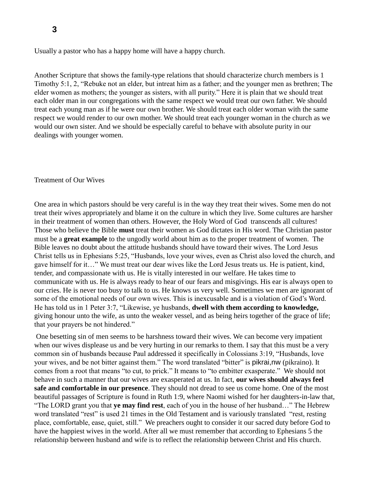Usually a pastor who has a happy home will have a happy church.

Another Scripture that shows the family-type relations that should characterize church members is 1 Timothy 5:1, 2, "Rebuke not an elder, but intreat him as a father; and the younger men as brethren; The elder women as mothers; the younger as sisters, with all purity." Here it is plain that we should treat each older man in our congregations with the same respect we would treat our own father. We should treat each young man as if he were our own brother. We should treat each older woman with the same respect we would render to our own mother. We should treat each younger woman in the church as we would our own sister. And we should be especially careful to behave with absolute purity in our dealings with younger women.

#### Treatment of Our Wives

One area in which pastors should be very careful is in the way they treat their wives. Some men do not treat their wives appropriately and blame it on the culture in which they live. Some cultures are harsher in their treatment of women than others. However, the Holy Word of God transcends all cultures! Those who believe the Bible **must** treat their women as God dictates in His word. The Christian pastor must be a **great example** to the ungodly world about him as to the proper treatment of women. The Bible leaves no doubt about the attitude husbands should have toward their wives. The Lord Jesus Christ tells us in Ephesians 5:25, "Husbands, love your wives, even as Christ also loved the church, and gave himself for it…" We must treat our dear wives like the Lord Jesus treats us. He is patient, kind, tender, and compassionate with us. He is vitally interested in our welfare. He takes time to communicate with us. He is always ready to hear of our fears and misgivings. His ear is always open to our cries. He is never too busy to talk to us. He knows us very well. Sometimes we men are ignorant of some of the emotional needs of our own wives. This is inexcusable and is a violation of God's Word. He has told us in 1 Peter 3:7, "Likewise, ye husbands, **dwell with them according to knowledge,** giving honour unto the wife, as unto the weaker vessel, and as being heirs together of the grace of life; that your prayers be not hindered."

One besetting sin of men seems to be harshness toward their wives. We can become very impatient when our wives displease us and be very hurting in our remarks to them. I say that this must be a very common sin of husbands because Paul addressed it specifically in Colossians 3:19, "Husbands, love your wives, and be not bitter against them." The word translated "bitter" is pikrai,nw (pikraino). It comes from a root that means "to cut, to prick." It means to "to embitter exasperate." We should not behave in such a manner that our wives are exasperated at us. In fact, **our wives should always feel safe and comfortable in our presence**. They should not dread to see us come home. One of the most beautiful passages of Scripture is found in Ruth 1:9, where Naomi wished for her daughters-in-law that, "The LORD grant you that **ye may find rest**, each of you in the house of her husband…" The Hebrew word translated "rest" is used 21 times in the Old Testament and is variously translated "rest, resting place, comfortable, ease, quiet, still." We preachers ought to consider it our sacred duty before God to have the happiest wives in the world. After all we must remember that according to Ephesians 5 the relationship between husband and wife is to reflect the relationship between Christ and His church.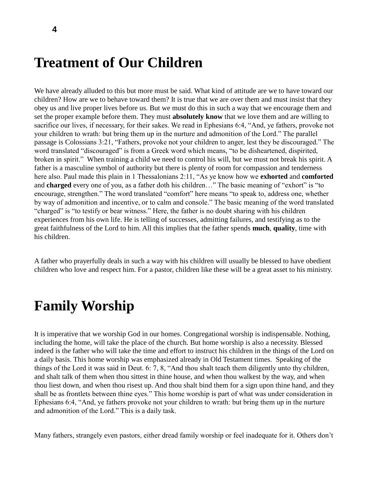## **Treatment of Our Children**

We have already alluded to this but more must be said. What kind of attitude are we to have toward our children? How are we to behave toward them? It is true that we are over them and must insist that they obey us and live proper lives before us. But we must do this in such a way that we encourage them and set the proper example before them. They must **absolutely know** that we love them and are willing to sacrifice our lives, if necessary, for their sakes. We read in Ephesians 6:4, "And, ye fathers, provoke not your children to wrath: but bring them up in the nurture and admonition of the Lord." The parallel passage is Colossians 3:21, "Fathers, provoke not your children to anger, lest they be discouraged." The word translated "discouraged" is from a Greek word which means, "to be disheartened, dispirited, broken in spirit." When training a child we need to control his will, but we must not break his spirit. A father is a masculine symbol of authority but there is plenty of room for compassion and tenderness here also. Paul made this plain in 1 Thessalonians 2:11, "As ye know how we **exhorted** and **comforted** and **charged** every one of you, as a father doth his children…" The basic meaning of "exhort" is "to encourage, strengthen." The word translated "comfort" here means "to speak to, address one, whether by way of admonition and incentive, or to calm and console." The basic meaning of the word translated "charged" is "to testify or bear witness." Here, the father is no doubt sharing with his children experiences from his own life. He is telling of successes, admitting failures, and testifying as to the great faithfulness of the Lord to him. All this implies that the father spends **much**, **quality**, time with his children.

A father who prayerfully deals in such a way with his children will usually be blessed to have obedient children who love and respect him. For a pastor, children like these will be a great asset to his ministry.

## **Family Worship**

It is imperative that we worship God in our homes. Congregational worship is indispensable. Nothing, including the home, will take the place of the church. But home worship is also a necessity. Blessed indeed is the father who will take the time and effort to instruct his children in the things of the Lord on a daily basis. This home worship was emphasized already in Old Testament times. Speaking of the things of the Lord it was said in Deut. 6: 7, 8, "And thou shalt teach them diligently unto thy children, and shalt talk of them when thou sittest in thine house, and when thou walkest by the way, and when thou liest down, and when thou risest up. And thou shalt bind them for a sign upon thine hand, and they shall be as frontlets between thine eyes." This home worship is part of what was under consideration in Ephesians 6:4, "And, ye fathers provoke not your children to wrath: but bring them up in the nurture and admonition of the Lord." This is a daily task.

Many fathers, strangely even pastors, either dread family worship or feel inadequate for it. Others don't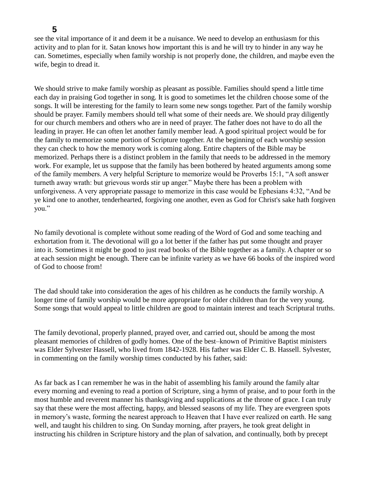### **5**

see the vital importance of it and deem it be a nuisance. We need to develop an enthusiasm for this activity and to plan for it. Satan knows how important this is and he will try to hinder in any way he can. Sometimes, especially when family worship is not properly done, the children, and maybe even the wife, begin to dread it.

We should strive to make family worship as pleasant as possible. Families should spend a little time each day in praising God together in song. It is good to sometimes let the children choose some of the songs. It will be interesting for the family to learn some new songs together. Part of the family worship should be prayer. Family members should tell what some of their needs are. We should pray diligently for our church members and others who are in need of prayer. The father does not have to do all the leading in prayer. He can often let another family member lead. A good spiritual project would be for the family to memorize some portion of Scripture together. At the beginning of each worship session they can check to how the memory work is coming along. Entire chapters of the Bible may be memorized. Perhaps there is a distinct problem in the family that needs to be addressed in the memory work. For example, let us suppose that the family has been bothered by heated arguments among some of the family members. A very helpful Scripture to memorize would be Proverbs 15:1, "A soft answer turneth away wrath: but grievous words stir up anger." Maybe there has been a problem with unforgiveness. A very appropriate passage to memorize in this case would be Ephesians 4:32, "And be ye kind one to another, tenderhearted, forgiving one another, even as God for Christ's sake hath forgiven you."

No family devotional is complete without some reading of the Word of God and some teaching and exhortation from it. The devotional will go a lot better if the father has put some thought and prayer into it. Sometimes it might be good to just read books of the Bible together as a family. A chapter or so at each session might be enough. There can be infinite variety as we have 66 books of the inspired word of God to choose from!

The dad should take into consideration the ages of his children as he conducts the family worship. A longer time of family worship would be more appropriate for older children than for the very young. Some songs that would appeal to little children are good to maintain interest and teach Scriptural truths.

The family devotional, properly planned, prayed over, and carried out, should be among the most pleasant memories of children of godly homes. One of the best–known of Primitive Baptist ministers was Elder Sylvester Hassell, who lived from 1842-1928. His father was Elder C. B. Hassell. Sylvester, in commenting on the family worship times conducted by his father, said:

As far back as I can remember he was in the habit of assembling his family around the family altar every morning and evening to read a portion of Scripture, sing a hymn of praise, and to pour forth in the most humble and reverent manner his thanksgiving and supplications at the throne of grace. I can truly say that these were the most affecting, happy, and blessed seasons of my life. They are evergreen spots in memory's waste, forming the nearest approach to Heaven that I have ever realized on earth. He sang well, and taught his children to sing. On Sunday morning, after prayers, he took great delight in instructing his children in Scripture history and the plan of salvation, and continually, both by precept